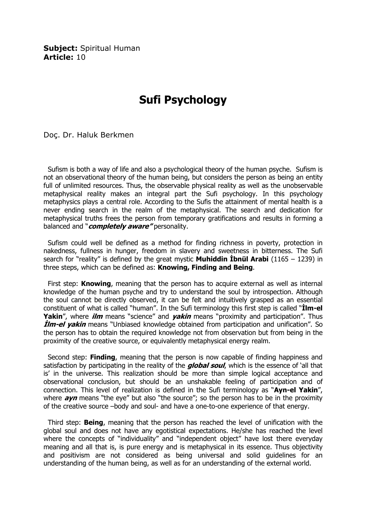Subiect: Spiritual Human Article: 10

## Sufi Psychology

Doç. Dr. Haluk Berkmen

 Sufism is both a way of life and also a psychological theory of the human psyche. Sufism is not an observational theory of the human being, but considers the person as being an entity full of unlimited resources. Thus, the observable physical reality as well as the unobservable metaphysical reality makes an integral part the Sufi psychology. In this psychology metaphysics plays a central role. According to the Sufis the attainment of mental health is a never ending search in the realm of the metaphysical. The search and dedication for metaphysical truths frees the person from temporary gratifications and results in forming a balanced and "*completely aware* "personality.

 Sufism could well be defined as a method for finding richness in poverty, protection in nakedness, fullness in hunger, freedom in slavery and sweetness in bitterness. The Sufi search for "reality" is defined by the great mystic **Muhiddin İbnül Arabi** (1165 – 1239) in three steps, which can be defined as: **Knowing, Finding and Being.** 

First step: Knowing, meaning that the person has to acquire external as well as internal knowledge of the human psyche and try to understand the soul by introspection. Although the soul cannot be directly observed, it can be felt and intuitively grasped as an essential constituent of what is called "human". In the Sufi terminology this first step is called "Ilm-el Yakin", where *ilm* means "science" and *yakin* means "proximity and participation". Thus *Ilm-el yakin* means "Unbiased knowledge obtained from participation and unification". So the person has to obtain the required knowledge not from observation but from being in the proximity of the creative source, or equivalently metaphysical energy realm.

Second step: **Finding**, meaning that the person is now capable of finding happiness and satisfaction by participating in the reality of the *global soul*, which is the essence of 'all that is' in the universe. This realization should be more than simple logical acceptance and observational conclusion, but should be an unshakable feeling of participation and of connection. This level of realization is defined in the Sufi terminology as "Ayn-el Yakin", where  $ayn$  means "the eye" but also "the source"; so the person has to be in the proximity of the creative source –body and soul- and have a one-to-one experience of that energy.

Third step: **Being**, meaning that the person has reached the level of unification with the global soul and does not have any egotistical expectations. He/she has reached the level where the concepts of "individuality" and "independent object" have lost there everyday meaning and all that is, is pure energy and is metaphysical in its essence. Thus objectivity and positivism are not considered as being universal and solid guidelines for an understanding of the human being, as well as for an understanding of the external world.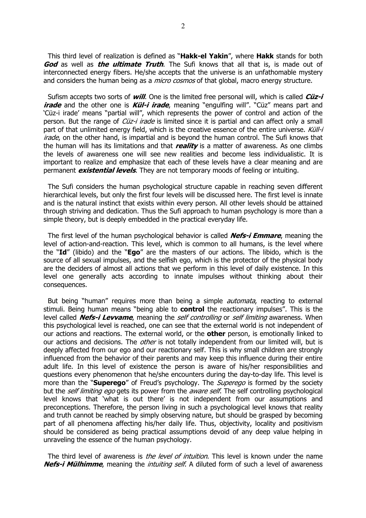This third level of realization is defined as "Hakk-el Yakin", where Hakk stands for both God as well as the *ultimate Truth*. The Sufi knows that all that is, is made out of interconnected energy fibers. He/she accepts that the universe is an unfathomable mystery and considers the human being as a *micro cosmos* of that global, macro energy structure.

Sufism accepts two sorts of *will*. One is the limited free personal will, which is called  $C\ddot{u}z-i$ *irade* and the other one is *Kül-i irade*, meaning "engulfing will". "Cüz" means part and 'Cüz-i irade' means "partial will", which represents the power of control and action of the person. But the range of *Cüz-i irade* is limited since it is partial and can affect only a small part of that unlimited energy field, which is the creative essence of the entire universe. Küll-i *irade*, on the other hand, is impartial and is beyond the human control. The Sufi knows that the human will has its limitations and that  $\textit{realitv}$  is a matter of awareness. As one climbs the levels of awareness one will see new realities and become less individualistic. It is important to realize and emphasize that each of these levels have a clear meaning and are permanent **existential levels**. They are not temporary moods of feeling or intuiting.

 The Sufi considers the human psychological structure capable in reaching seven different hierarchical levels, but only the first four levels will be discussed here. The first level is innate and is the natural instinct that exists within every person. All other levels should be attained through striving and dedication. Thus the Sufi approach to human psychology is more than a simple theory, but is deeply embedded in the practical everyday life.

The first level of the human psychological behavior is called **Nefs-i Emmare**, meaning the level of action-and-reaction. This level, which is common to all humans, is the level where the "Id" (libido) and the "Ego" are the masters of our actions. The libido, which is the source of all sexual impulses, and the selfish ego, which is the protector of the physical body are the deciders of almost all actions that we perform in this level of daily existence. In this level one generally acts according to innate impulses without thinking about their consequences.

But being "human" requires more than being a simple *automata*, reacting to external stimuli. Being human means "being able to **control** the reactionary impulses". This is the level called *Nefs-i Levvame*, meaning the *self controlling* or *self limiting* awareness. When this psychological level is reached, one can see that the external world is not independent of our actions and reactions. The external world, or the **other** person, is emotionally linked to our actions and decisions. The *other* is not totally independent from our limited will, but is deeply affected from our ego and our reactionary self. This is why small children are strongly influenced from the behavior of their parents and may keep this influence during their entire adult life. In this level of existence the person is aware of his/her responsibilities and questions every phenomenon that he/she encounters during the day-to-day life. This level is more than the "**Superego**" of Freud's psychology. The *Superego* is formed by the society but the *self limiting ego* gets its power from the *aware self*. The self controlling psychological level knows that 'what is out there' is not independent from our assumptions and preconceptions. Therefore, the person living in such a psychological level knows that reality and truth cannot be reached by simply observing nature, but should be grasped by becoming part of all phenomena affecting his/her daily life. Thus, objectivity, locality and positivism should be considered as being practical assumptions devoid of any deep value helping in unraveling the essence of the human psychology.

The third level of awareness is *the level of intuition*. This level is known under the name Nefs-i Mülhimme, meaning the *intuiting self*. A diluted form of such a level of awareness